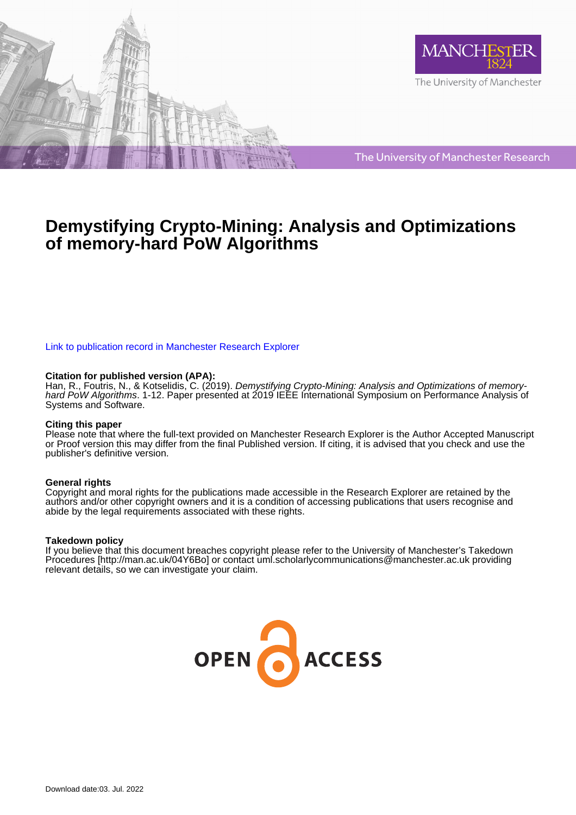



The University of Manchester Research

# **Demystifying Crypto-Mining: Analysis and Optimizations of memory-hard PoW Algorithms**

## [Link to publication record in Manchester Research Explorer](https://www.research.manchester.ac.uk/portal/en/publications/demystifying-cryptomining-analysis-and-optimizations-of-memoryhard-pow-algorithms(a184c9b0-b8f3-46e5-91d7-4559002562f4).html)

## **Citation for published version (APA):**

Han, R., Foutris, N., & Kotselidis, C. (2019). Demystifying Crypto-Mining: Analysis and Optimizations of memoryhard PoW Algorithms. 1-12. Paper presented at 2019 IEEE International Symposium on Performance Analysis of Systems and Software.

## **Citing this paper**

Please note that where the full-text provided on Manchester Research Explorer is the Author Accepted Manuscript or Proof version this may differ from the final Published version. If citing, it is advised that you check and use the publisher's definitive version.

## **General rights**

Copyright and moral rights for the publications made accessible in the Research Explorer are retained by the authors and/or other copyright owners and it is a condition of accessing publications that users recognise and abide by the legal requirements associated with these rights.

## **Takedown policy**

If you believe that this document breaches copyright please refer to the University of Manchester's Takedown Procedures [http://man.ac.uk/04Y6Bo] or contact uml.scholarlycommunications@manchester.ac.uk providing relevant details, so we can investigate your claim.

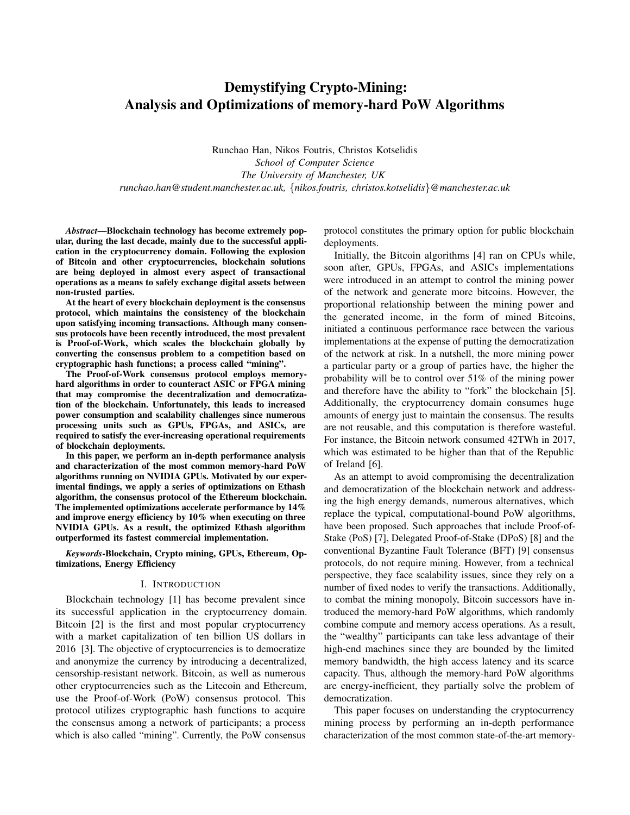## Demystifying Crypto-Mining: Analysis and Optimizations of memory-hard PoW Algorithms

Runchao Han, Nikos Foutris, Christos Kotselidis *School of Computer Science The University of Manchester, UK runchao.han@student.manchester.ac.uk,* {*nikos.foutris, christos.kotselidis*}*@manchester.ac.uk*

*Abstract*—Blockchain technology has become extremely popular, during the last decade, mainly due to the successful application in the cryptocurrency domain. Following the explosion of Bitcoin and other cryptocurrencies, blockchain solutions are being deployed in almost every aspect of transactional operations as a means to safely exchange digital assets between non-trusted parties.

At the heart of every blockchain deployment is the consensus protocol, which maintains the consistency of the blockchain upon satisfying incoming transactions. Although many consensus protocols have been recently introduced, the most prevalent is Proof-of-Work, which scales the blockchain globally by converting the consensus problem to a competition based on cryptographic hash functions; a process called "mining".

The Proof-of-Work consensus protocol employs memoryhard algorithms in order to counteract ASIC or FPGA mining that may compromise the decentralization and democratization of the blockchain. Unfortunately, this leads to increased power consumption and scalability challenges since numerous processing units such as GPUs, FPGAs, and ASICs, are required to satisfy the ever-increasing operational requirements of blockchain deployments.

In this paper, we perform an in-depth performance analysis and characterization of the most common memory-hard PoW algorithms running on NVIDIA GPUs. Motivated by our experimental findings, we apply a series of optimizations on Ethash algorithm, the consensus protocol of the Ethereum blockchain. The implemented optimizations accelerate performance by 14% and improve energy efficiency by 10% when executing on three NVIDIA GPUs. As a result, the optimized Ethash algorithm outperformed its fastest commercial implementation.

*Keywords*-Blockchain, Crypto mining, GPUs, Ethereum, Optimizations, Energy Efficiency

#### I. INTRODUCTION

Blockchain technology [1] has become prevalent since its successful application in the cryptocurrency domain. Bitcoin [2] is the first and most popular cryptocurrency with a market capitalization of ten billion US dollars in 2016 [3]. The objective of cryptocurrencies is to democratize and anonymize the currency by introducing a decentralized, censorship-resistant network. Bitcoin, as well as numerous other cryptocurrencies such as the Litecoin and Ethereum, use the Proof-of-Work (PoW) consensus protocol. This protocol utilizes cryptographic hash functions to acquire the consensus among a network of participants; a process which is also called "mining". Currently, the PoW consensus

protocol constitutes the primary option for public blockchain deployments.

Initially, the Bitcoin algorithms [4] ran on CPUs while, soon after, GPUs, FPGAs, and ASICs implementations were introduced in an attempt to control the mining power of the network and generate more bitcoins. However, the proportional relationship between the mining power and the generated income, in the form of mined Bitcoins, initiated a continuous performance race between the various implementations at the expense of putting the democratization of the network at risk. In a nutshell, the more mining power a particular party or a group of parties have, the higher the probability will be to control over 51% of the mining power and therefore have the ability to "fork" the blockchain [5]. Additionally, the cryptocurrency domain consumes huge amounts of energy just to maintain the consensus. The results are not reusable, and this computation is therefore wasteful. For instance, the Bitcoin network consumed 42TWh in 2017, which was estimated to be higher than that of the Republic of Ireland [6].

As an attempt to avoid compromising the decentralization and democratization of the blockchain network and addressing the high energy demands, numerous alternatives, which replace the typical, computational-bound PoW algorithms, have been proposed. Such approaches that include Proof-of-Stake (PoS) [7], Delegated Proof-of-Stake (DPoS) [8] and the conventional Byzantine Fault Tolerance (BFT) [9] consensus protocols, do not require mining. However, from a technical perspective, they face scalability issues, since they rely on a number of fixed nodes to verify the transactions. Additionally, to combat the mining monopoly, Bitcoin successors have introduced the memory-hard PoW algorithms, which randomly combine compute and memory access operations. As a result, the "wealthy" participants can take less advantage of their high-end machines since they are bounded by the limited memory bandwidth, the high access latency and its scarce capacity. Thus, although the memory-hard PoW algorithms are energy-inefficient, they partially solve the problem of democratization.

This paper focuses on understanding the cryptocurrency mining process by performing an in-depth performance characterization of the most common state-of-the-art memory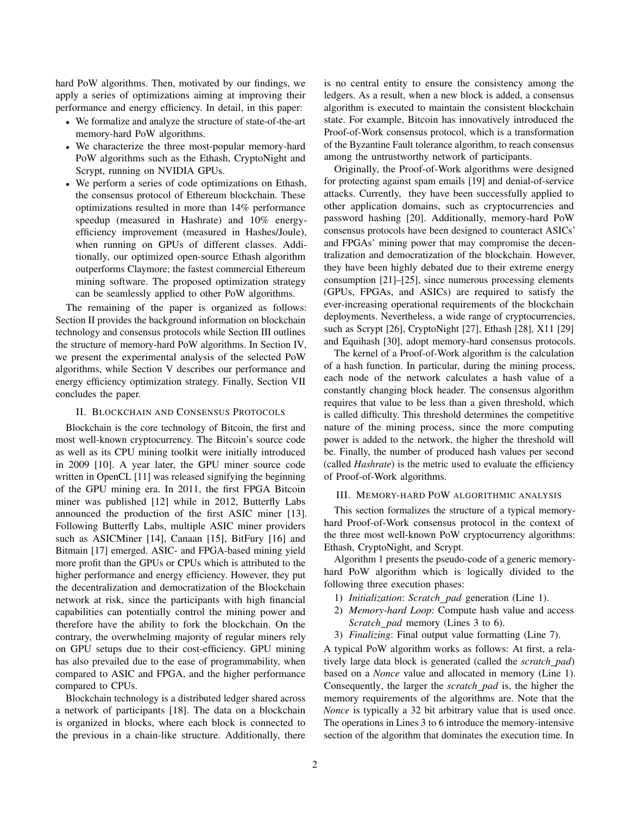hard PoW algorithms. Then, motivated by our findings, we apply a series of optimizations aiming at improving their performance and energy efficiency. In detail, in this paper:

- We formalize and analyze the structure of state-of-the-art memory-hard PoW algorithms.
- We characterize the three most-popular memory-hard PoW algorithms such as the Ethash, CryptoNight and Scrypt, running on NVIDIA GPUs.
- We perform a series of code optimizations on Ethash, the consensus protocol of Ethereum blockchain. These optimizations resulted in more than 14% performance speedup (measured in Hashrate) and 10% energyefficiency improvement (measured in Hashes/Joule), when running on GPUs of different classes. Additionally, our optimized open-source Ethash algorithm outperforms Claymore; the fastest commercial Ethereum mining software. The proposed optimization strategy can be seamlessly applied to other PoW algorithms.

The remaining of the paper is organized as follows: Section II provides the background information on blockchain technology and consensus protocols while Section III outlines the structure of memory-hard PoW algorithms. In Section IV, we present the experimental analysis of the selected PoW algorithms, while Section V describes our performance and energy efficiency optimization strategy. Finally, Section VII concludes the paper.

#### II. BLOCKCHAIN AND CONSENSUS PROTOCOLS

Blockchain is the core technology of Bitcoin, the first and most well-known cryptocurrency. The Bitcoin's source code as well as its CPU mining toolkit were initially introduced in 2009 [10]. A year later, the GPU miner source code written in OpenCL [11] was released signifying the beginning of the GPU mining era. In 2011, the first FPGA Bitcoin miner was published [12] while in 2012, Butterfly Labs announced the production of the first ASIC miner [13]. Following Butterfly Labs, multiple ASIC miner providers such as ASICMiner [14], Canaan [15], BitFury [16] and Bitmain [17] emerged. ASIC- and FPGA-based mining yield more profit than the GPUs or CPUs which is attributed to the higher performance and energy efficiency. However, they put the decentralization and democratization of the Blockchain network at risk, since the participants with high financial capabilities can potentially control the mining power and therefore have the ability to fork the blockchain. On the contrary, the overwhelming majority of regular miners rely on GPU setups due to their cost-efficiency. GPU mining has also prevailed due to the ease of programmability, when compared to ASIC and FPGA, and the higher performance compared to CPUs.

Blockchain technology is a distributed ledger shared across a network of participants [18]. The data on a blockchain is organized in blocks, where each block is connected to the previous in a chain-like structure. Additionally, there is no central entity to ensure the consistency among the ledgers. As a result, when a new block is added, a consensus algorithm is executed to maintain the consistent blockchain state. For example, Bitcoin has innovatively introduced the Proof-of-Work consensus protocol, which is a transformation of the Byzantine Fault tolerance algorithm, to reach consensus among the untrustworthy network of participants.

Originally, the Proof-of-Work algorithms were designed for protecting against spam emails [19] and denial-of-service attacks. Currently, they have been successfully applied to other application domains, such as cryptocurrencies and password hashing [20]. Additionally, memory-hard PoW consensus protocols have been designed to counteract ASICs' and FPGAs' mining power that may compromise the decentralization and democratization of the blockchain. However, they have been highly debated due to their extreme energy consumption [21]–[25], since numerous processing elements (GPUs, FPGAs, and ASICs) are required to satisfy the ever-increasing operational requirements of the blockchain deployments. Nevertheless, a wide range of cryptocurrencies, such as Scrypt [26], CryptoNight [27], Ethash [28], X11 [29] and Equihash [30], adopt memory-hard consensus protocols.

The kernel of a Proof-of-Work algorithm is the calculation of a hash function. In particular, during the mining process, each node of the network calculates a hash value of a constantly changing block header. The consensus algorithm requires that value to be less than a given threshold, which is called difficulty. This threshold determines the competitive nature of the mining process, since the more computing power is added to the network, the higher the threshold will be. Finally, the number of produced hash values per second (called *Hashrate*) is the metric used to evaluate the efficiency of Proof-of-Work algorithms.

## III. MEMORY-HARD POW ALGORITHMIC ANALYSIS

This section formalizes the structure of a typical memoryhard Proof-of-Work consensus protocol in the context of the three most well-known PoW cryptocurrency algorithms: Ethash, CryptoNight, and Scrypt.

Algorithm 1 presents the pseudo-code of a generic memoryhard PoW algorithm which is logically divided to the following three execution phases:

- 1) *Initialization*: *Scratch pad* generation (Line 1).
- 2) *Memory-hard Loop*: Compute hash value and access *Scratch pad* memory (Lines 3 to 6).
- 3) *Finalizing*: Final output value formatting (Line 7).

A typical PoW algorithm works as follows: At first, a relatively large data block is generated (called the *scratch pad*) based on a *Nonce* value and allocated in memory (Line 1). Consequently, the larger the *scratch pad* is, the higher the memory requirements of the algorithms are. Note that the *Nonce* is typically a 32 bit arbitrary value that is used once. The operations in Lines 3 to 6 introduce the memory-intensive section of the algorithm that dominates the execution time. In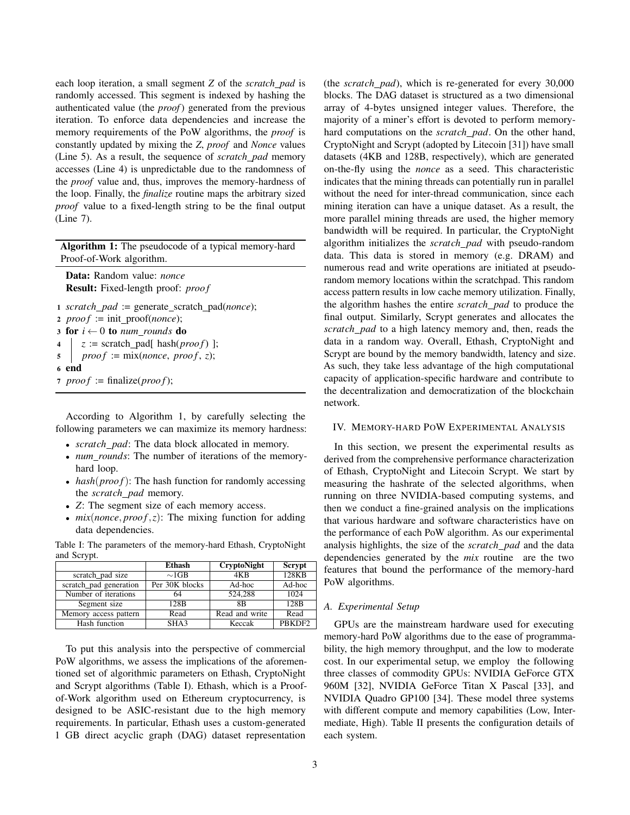each loop iteration, a small segment *Z* of the *scratch pad* is randomly accessed. This segment is indexed by hashing the authenticated value (the *proof*) generated from the previous iteration. To enforce data dependencies and increase the memory requirements of the PoW algorithms, the *proof* is constantly updated by mixing the *Z*, *proof* and *Nonce* values (Line 5). As a result, the sequence of *scratch pad* memory accesses (Line 4) is unpredictable due to the randomness of the *proof* value and, thus, improves the memory-hardness of the loop. Finally, the *finalize* routine maps the arbitrary sized *proof* value to a fixed-length string to be the final output (Line 7).

Algorithm 1: The pseudocode of a typical memory-hard Proof-of-Work algorithm.

Data: Random value: *nonce* Result: Fixed-length proof: *proof* 

```
1 scratch pad := generate scratch pad(nonce);
2 proof := init\_proof(none);3 for i \leftarrow 0 to num rounds do
4 |z| = \text{ scratch\_pad}[\text{hash}(proof)];
proot := mix(nonce, proof, z);6 end
7 \text{ } proof := \text{finalize}(proof);
```
According to Algorithm 1, by carefully selecting the following parameters we can maximize its memory hardness:

- *scratch pad*: The data block allocated in memory.
- *num rounds*: The number of iterations of the memoryhard loop.
- *hash(proof)*: The hash function for randomly accessing the *scratch pad* memory.
- *Z*: The segment size of each memory access.
- $mix(nonce, proof, z)$ : The mixing function for adding data dependencies.

Table I: The parameters of the memory-hard Ethash, CryptoNight and Scrypt.

|                        | <b>Ethash</b>    | <b>CryptoNight</b> | Scrypt             |
|------------------------|------------------|--------------------|--------------------|
| scratch pad size       | $\sim$ 1GB       | 4K <sub>R</sub>    | 128KB              |
| scratch pad generation | Per 30K blocks   | Ad-hoc             | Ad-hoc             |
| Number of iterations   | 64               | 524.288            | 1024               |
| Segment size           | 128 <sub>B</sub> | 8B                 | 128 <sub>B</sub>   |
| Memory access pattern  | Read             | Read and write     | Read               |
| Hash function          | SHA3             | Keccak             | PBKDF <sub>2</sub> |

To put this analysis into the perspective of commercial PoW algorithms, we assess the implications of the aforementioned set of algorithmic parameters on Ethash, CryptoNight and Scrypt algorithms (Table I). Ethash, which is a Proofof-Work algorithm used on Ethereum cryptocurrency, is designed to be ASIC-resistant due to the high memory requirements. In particular, Ethash uses a custom-generated 1 GB direct acyclic graph (DAG) dataset representation

(the *scratch pad*), which is re-generated for every 30,000 blocks. The DAG dataset is structured as a two dimensional array of 4-bytes unsigned integer values. Therefore, the majority of a miner's effort is devoted to perform memoryhard computations on the *scratch pad*. On the other hand, CryptoNight and Scrypt (adopted by Litecoin [31]) have small datasets (4KB and 128B, respectively), which are generated on-the-fly using the *nonce* as a seed. This characteristic indicates that the mining threads can potentially run in parallel without the need for inter-thread communication, since each mining iteration can have a unique dataset. As a result, the more parallel mining threads are used, the higher memory bandwidth will be required. In particular, the CryptoNight algorithm initializes the *scratch pad* with pseudo-random data. This data is stored in memory (e.g. DRAM) and numerous read and write operations are initiated at pseudorandom memory locations within the scratchpad. This random access pattern results in low cache memory utilization. Finally, the algorithm hashes the entire *scratch pad* to produce the final output. Similarly, Scrypt generates and allocates the *scratch pad* to a high latency memory and, then, reads the data in a random way. Overall, Ethash, CryptoNight and Scrypt are bound by the memory bandwidth, latency and size. As such, they take less advantage of the high computational capacity of application-specific hardware and contribute to the decentralization and democratization of the blockchain network.

### IV. MEMORY-HARD POW EXPERIMENTAL ANALYSIS

In this section, we present the experimental results as derived from the comprehensive performance characterization of Ethash, CryptoNight and Litecoin Scrypt. We start by measuring the hashrate of the selected algorithms, when running on three NVIDIA-based computing systems, and then we conduct a fine-grained analysis on the implications that various hardware and software characteristics have on the performance of each PoW algorithm. As our experimental analysis highlights, the size of the *scratch pad* and the data dependencies generated by the *mix* routine are the two features that bound the performance of the memory-hard PoW algorithms.

## *A. Experimental Setup*

GPUs are the mainstream hardware used for executing memory-hard PoW algorithms due to the ease of programmability, the high memory throughput, and the low to moderate cost. In our experimental setup, we employ the following three classes of commodity GPUs: NVIDIA GeForce GTX 960M [32], NVIDIA GeForce Titan X Pascal [33], and NVIDIA Quadro GP100 [34]. These model three systems with different compute and memory capabilities (Low, Intermediate, High). Table II presents the configuration details of each system.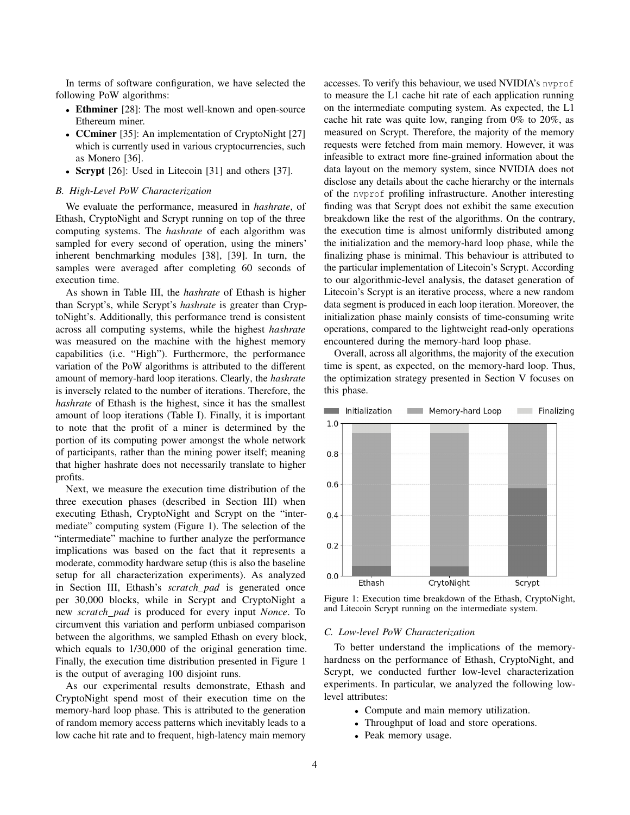In terms of software configuration, we have selected the following PoW algorithms:

- Ethminer [28]: The most well-known and open-source Ethereum miner.
- **CCminer** [35]: An implementation of CryptoNight [27] which is currently used in various cryptocurrencies, such as Monero [36].
- Scrypt [26]: Used in Litecoin [31] and others [37].

#### *B. High-Level PoW Characterization*

We evaluate the performance, measured in *hashrate*, of Ethash, CryptoNight and Scrypt running on top of the three computing systems. The *hashrate* of each algorithm was sampled for every second of operation, using the miners' inherent benchmarking modules [38], [39]. In turn, the samples were averaged after completing 60 seconds of execution time.

As shown in Table III, the *hashrate* of Ethash is higher than Scrypt's, while Scrypt's *hashrate* is greater than CryptoNight's. Additionally, this performance trend is consistent across all computing systems, while the highest *hashrate* was measured on the machine with the highest memory capabilities (i.e. "High"). Furthermore, the performance variation of the PoW algorithms is attributed to the different amount of memory-hard loop iterations. Clearly, the *hashrate* is inversely related to the number of iterations. Therefore, the *hashrate* of Ethash is the highest, since it has the smallest amount of loop iterations (Table I). Finally, it is important to note that the profit of a miner is determined by the portion of its computing power amongst the whole network of participants, rather than the mining power itself; meaning that higher hashrate does not necessarily translate to higher profits.

Next, we measure the execution time distribution of the three execution phases (described in Section III) when executing Ethash, CryptoNight and Scrypt on the "intermediate" computing system (Figure 1). The selection of the "intermediate" machine to further analyze the performance implications was based on the fact that it represents a moderate, commodity hardware setup (this is also the baseline setup for all characterization experiments). As analyzed in Section III, Ethash's *scratch pad* is generated once per 30,000 blocks, while in Scrypt and CryptoNight a new *scratch pad* is produced for every input *Nonce*. To circumvent this variation and perform unbiased comparison between the algorithms, we sampled Ethash on every block, which equals to  $1/30,000$  of the original generation time. Finally, the execution time distribution presented in Figure 1 is the output of averaging 100 disjoint runs.

As our experimental results demonstrate, Ethash and CryptoNight spend most of their execution time on the memory-hard loop phase. This is attributed to the generation of random memory access patterns which inevitably leads to a low cache hit rate and to frequent, high-latency main memory accesses. To verify this behaviour, we used NVIDIA's nvprof to measure the L1 cache hit rate of each application running on the intermediate computing system. As expected, the L1 cache hit rate was quite low, ranging from 0% to 20%, as measured on Scrypt. Therefore, the majority of the memory requests were fetched from main memory. However, it was infeasible to extract more fine-grained information about the data layout on the memory system, since NVIDIA does not disclose any details about the cache hierarchy or the internals of the nvprof profiling infrastructure. Another interesting finding was that Scrypt does not exhibit the same execution breakdown like the rest of the algorithms. On the contrary, the execution time is almost uniformly distributed among the initialization and the memory-hard loop phase, while the finalizing phase is minimal. This behaviour is attributed to the particular implementation of Litecoin's Scrypt. According to our algorithmic-level analysis, the dataset generation of Litecoin's Scrypt is an iterative process, where a new random data segment is produced in each loop iteration. Moreover, the initialization phase mainly consists of time-consuming write operations, compared to the lightweight read-only operations encountered during the memory-hard loop phase.

Overall, across all algorithms, the majority of the execution time is spent, as expected, on the memory-hard loop. Thus, the optimization strategy presented in Section V focuses on this phase.



Figure 1: Execution time breakdown of the Ethash, CryptoNight, and Litecoin Scrypt running on the intermediate system.

#### *C. Low-level PoW Characterization*

To better understand the implications of the memoryhardness on the performance of Ethash, CryptoNight, and Scrypt, we conducted further low-level characterization experiments. In particular, we analyzed the following lowlevel attributes:

- Compute and main memory utilization.
- Throughput of load and store operations.
- Peak memory usage.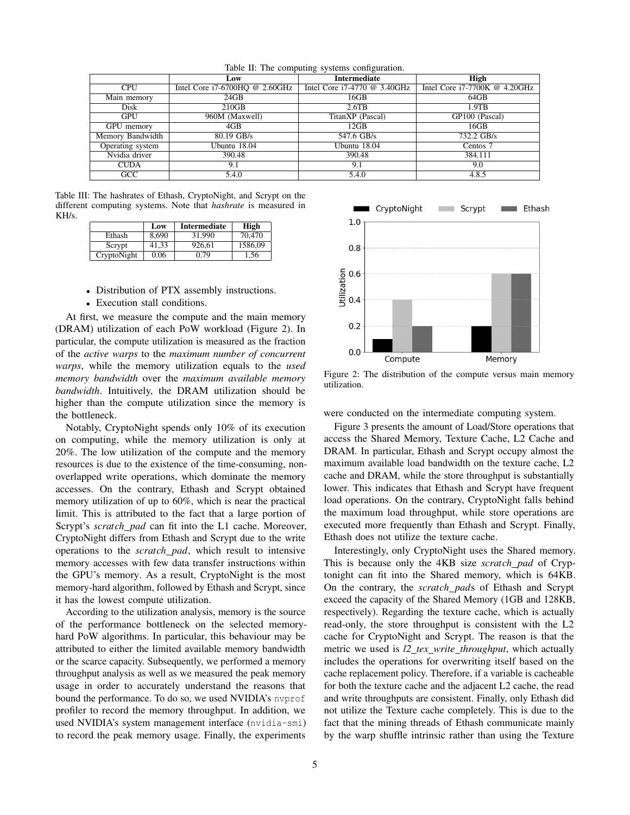|                  | Low                                | Intermediate                   | High                          |
|------------------|------------------------------------|--------------------------------|-------------------------------|
| <b>CPU</b>       | Intel Core $i7-6700HQ \ @ 2.60GHz$ | Intel Core $i7-4770$ @ 3.40GHz | Intel Core i7-7700K @ 4.20GHz |
| Main memory      | 24GB                               | 16GB                           | 64GB                          |
| Disk             | 210GB                              | $2.6$ TB                       | $1.9$ TB                      |
| GPU              | 960M (Maxwell)                     | TitanXP (Pascal)               | GP100 (Pascal)                |
| GPU memory       | 4GB                                | 12GB                           | 16GB                          |
| Memory Bandwidth | 80.19 GB/s                         | 547.6 GB/s                     | 732.2 GB/s                    |
| Operating system | Ubuntu 18.04                       | Ubuntu 18.04                   | Centos 7                      |
| Nvidia driver    | 390.48                             | 390.48                         | 384.111                       |
| <b>CUDA</b>      | 9.1                                | 9.1                            | 9.0                           |
| GCC              | 5.4.0                              | 5.4.0                          | 4.8.5                         |

Table II: The computing systems configuration.

Table III: The hashrates of Ethash, CryptoNight, and Scrypt on the different computing systems. Note that *hashrate* is measured in KH/s.

|             | Low   | Intermediate | High    |
|-------------|-------|--------------|---------|
| Ethash      | 8.690 | 31.990       | 70,470  |
| Scrypt      | 41.33 | 926.61       | 1586.09 |
| CryptoNight | 0.06  | 0.79         | 1,56    |

- Distribution of PTX assembly instructions.
- Execution stall conditions.

At first, we measure the compute and the main memory (DRAM) utilization of each PoW workload (Figure 2). In particular, the compute utilization is measured as the fraction of the *active warps* to the *maximum number of concurrent warps*, while the memory utilization equals to the *used memory bandwidth* over the *maximum available memory bandwidth*. Intuitively, the DRAM utilization should be higher than the compute utilization since the memory is the bottleneck.

Notably, CryptoNight spends only 10% of its execution on computing, while the memory utilization is only at 20%. The low utilization of the compute and the memory resources is due to the existence of the time-consuming, nonoverlapped write operations, which dominate the memory accesses. On the contrary, Ethash and Scrypt obtained memory utilization of up to 60%, which is near the practical limit. This is attributed to the fact that a large portion of Scrypt's *scratch\_pad* can fit into the L1 cache. Moreover, CryptoNight differs from Ethash and Scrypt due to the write operations to the *scratch pad*, which result to intensive memory accesses with few data transfer instructions within the GPU's memory. As a result, CryptoNight is the most memory-hard algorithm, followed by Ethash and Scrypt, since it has the lowest compute utilization.

According to the utilization analysis, memory is the source of the performance bottleneck on the selected memoryhard PoW algorithms. In particular, this behaviour may be attributed to either the limited available memory bandwidth or the scarce capacity. Subsequently, we performed a memory throughput analysis as well as we measured the peak memory usage in order to accurately understand the reasons that bound the performance. To do so, we used NVIDIA's nvprof profiler to record the memory throughput. In addition, we used NVIDIA's system management interface (nvidia-smi) to record the peak memory usage. Finally, the experiments



Figure 2: The distribution of the compute versus main memory utilization.

were conducted on the intermediate computing system.

Figure 3 presents the amount of Load/Store operations that access the Shared Memory, Texture Cache, L2 Cache and DRAM. In particular, Ethash and Scrypt occupy almost the maximum available load bandwidth on the texture cache, L2 cache and DRAM, while the store throughput is substantially lower. This indicates that Ethash and Scrypt have frequent load operations. On the contrary, CryptoNight falls behind the maximum load throughput, while store operations are executed more frequently than Ethash and Scrypt. Finally, Ethash does not utilize the texture cache.

Interestingly, only CryptoNight uses the Shared memory. This is because only the 4KB size *scratch pad* of Cryptonight can fit into the Shared memory, which is 64KB. On the contrary, the *scratch pad*s of Ethash and Scrypt exceed the capacity of the Shared Memory (1GB and 128KB, respectively). Regarding the texture cache, which is actually read-only, the store throughput is consistent with the L2 cache for CryptoNight and Scrypt. The reason is that the metric we used is *l2 tex write throughput*, which actually includes the operations for overwriting itself based on the cache replacement policy. Therefore, if a variable is cacheable for both the texture cache and the adjacent L2 cache, the read and write throughputs are consistent. Finally, only Ethash did not utilize the Texture cache completely. This is due to the fact that the mining threads of Ethash communicate mainly by the warp shuffle intrinsic rather than using the Texture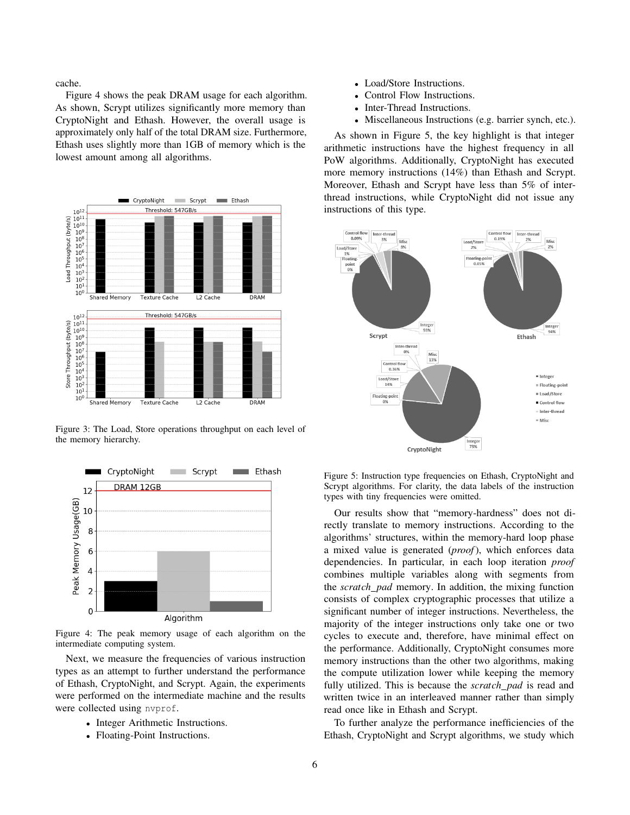cache.

Figure 4 shows the peak DRAM usage for each algorithm. As shown, Scrypt utilizes significantly more memory than CryptoNight and Ethash. However, the overall usage is approximately only half of the total DRAM size. Furthermore, Ethash uses slightly more than 1GB of memory which is the lowest amount among all algorithms.



Figure 3: The Load, Store operations throughput on each level of the memory hierarchy.



Figure 4: The peak memory usage of each algorithm on the intermediate computing system.

Next, we measure the frequencies of various instruction types as an attempt to further understand the performance of Ethash, CryptoNight, and Scrypt. Again, the experiments were performed on the intermediate machine and the results were collected using nvprof.

- Integer Arithmetic Instructions.
- Floating-Point Instructions.
- Load/Store Instructions.
- Control Flow Instructions.
- Inter-Thread Instructions.
- Miscellaneous Instructions (e.g. barrier synch, etc.).

As shown in Figure 5, the key highlight is that integer arithmetic instructions have the highest frequency in all PoW algorithms. Additionally, CryptoNight has executed more memory instructions (14%) than Ethash and Scrypt. Moreover, Ethash and Scrypt have less than 5% of interthread instructions, while CryptoNight did not issue any instructions of this type.



Figure 5: Instruction type frequencies on Ethash, CryptoNight and Scrypt algorithms. For clarity, the data labels of the instruction types with tiny frequencies were omitted.

Our results show that "memory-hardness" does not directly translate to memory instructions. According to the algorithms' structures, within the memory-hard loop phase a mixed value is generated (*proof*), which enforces data dependencies. In particular, in each loop iteration *proof* combines multiple variables along with segments from the *scratch pad* memory. In addition, the mixing function consists of complex cryptographic processes that utilize a significant number of integer instructions. Nevertheless, the majority of the integer instructions only take one or two cycles to execute and, therefore, have minimal effect on the performance. Additionally, CryptoNight consumes more memory instructions than the other two algorithms, making the compute utilization lower while keeping the memory fully utilized. This is because the *scratch pad* is read and written twice in an interleaved manner rather than simply read once like in Ethash and Scrypt.

To further analyze the performance inefficiencies of the Ethash, CryptoNight and Scrypt algorithms, we study which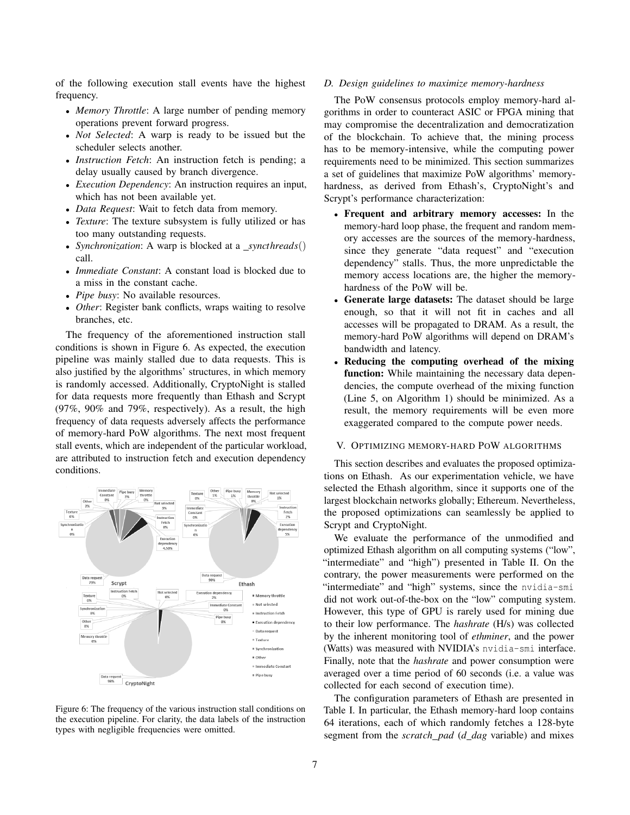of the following execution stall events have the highest frequency.

- *Memory Throttle*: A large number of pending memory operations prevent forward progress.
- *Not Selected*: A warp is ready to be issued but the scheduler selects another.
- *Instruction Fetch*: An instruction fetch is pending; a delay usually caused by branch divergence.
- *Execution Dependency*: An instruction requires an input, which has not been available yet.
- *Data Request*: Wait to fetch data from memory.
- *Texture*: The texture subsystem is fully utilized or has too many outstanding requests.
- *Synchronization*: A warp is blocked at a *syncthreads*() call.
- *Immediate Constant*: A constant load is blocked due to a miss in the constant cache.
- *Pipe busy*: No available resources.
- *Other*: Register bank conflicts, wraps waiting to resolve branches, etc.

The frequency of the aforementioned instruction stall conditions is shown in Figure 6. As expected, the execution pipeline was mainly stalled due to data requests. This is also justified by the algorithms' structures, in which memory is randomly accessed. Additionally, CryptoNight is stalled for data requests more frequently than Ethash and Scrypt (97%, 90% and 79%, respectively). As a result, the high frequency of data requests adversely affects the performance of memory-hard PoW algorithms. The next most frequent stall events, which are independent of the particular workload, are attributed to instruction fetch and execution dependency conditions.



Figure 6: The frequency of the various instruction stall conditions on the execution pipeline. For clarity, the data labels of the instruction types with negligible frequencies were omitted.

#### *D. Design guidelines to maximize memory-hardness*

The PoW consensus protocols employ memory-hard algorithms in order to counteract ASIC or FPGA mining that may compromise the decentralization and democratization of the blockchain. To achieve that, the mining process has to be memory-intensive, while the computing power requirements need to be minimized. This section summarizes a set of guidelines that maximize PoW algorithms' memoryhardness, as derived from Ethash's, CryptoNight's and Scrypt's performance characterization:

- Frequent and arbitrary memory accesses: In the memory-hard loop phase, the frequent and random memory accesses are the sources of the memory-hardness, since they generate "data request" and "execution dependency" stalls. Thus, the more unpredictable the memory access locations are, the higher the memoryhardness of the PoW will be.
- Generate large datasets: The dataset should be large enough, so that it will not fit in caches and all accesses will be propagated to DRAM. As a result, the memory-hard PoW algorithms will depend on DRAM's bandwidth and latency.
- Reducing the computing overhead of the mixing function: While maintaining the necessary data dependencies, the compute overhead of the mixing function (Line 5, on Algorithm 1) should be minimized. As a result, the memory requirements will be even more exaggerated compared to the compute power needs.

#### V. OPTIMIZING MEMORY-HARD POW ALGORITHMS

This section describes and evaluates the proposed optimizations on Ethash. As our experimentation vehicle, we have selected the Ethash algorithm, since it supports one of the largest blockchain networks globally; Ethereum. Nevertheless, the proposed optimizations can seamlessly be applied to Scrypt and CryptoNight.

We evaluate the performance of the unmodified and optimized Ethash algorithm on all computing systems ("low", "intermediate" and "high") presented in Table II. On the contrary, the power measurements were performed on the "intermediate" and "high" systems, since the nvidia-smi did not work out-of-the-box on the "low" computing system. However, this type of GPU is rarely used for mining due to their low performance. The *hashrate* (H/s) was collected by the inherent monitoring tool of *ethminer*, and the power (Watts) was measured with NVIDIA's nvidia-smi interface. Finally, note that the *hashrate* and power consumption were averaged over a time period of 60 seconds (i.e. a value was collected for each second of execution time).

The configuration parameters of Ethash are presented in Table I. In particular, the Ethash memory-hard loop contains 64 iterations, each of which randomly fetches a 128-byte segment from the *scratch pad* (*d dag* variable) and mixes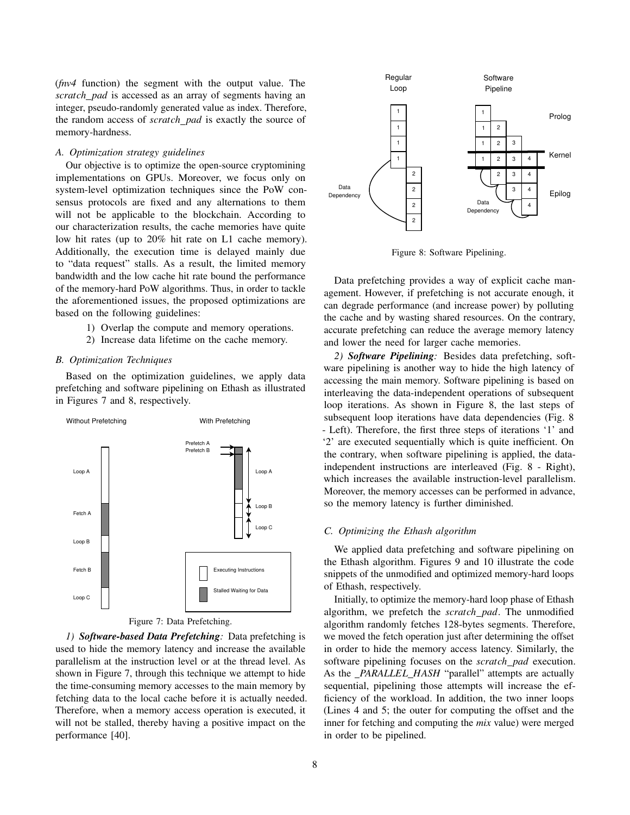(*fnv4* function) the segment with the output value. The *scratch pad* is accessed as an array of segments having an integer, pseudo-randomly generated value as index. Therefore, the random access of *scratch pad* is exactly the source of memory-hardness.

## *A. Optimization strategy guidelines*

Our objective is to optimize the open-source cryptomining implementations on GPUs. Moreover, we focus only on system-level optimization techniques since the PoW consensus protocols are fixed and any alternations to them will not be applicable to the blockchain. According to our characterization results, the cache memories have quite low hit rates (up to 20% hit rate on L1 cache memory). Additionally, the execution time is delayed mainly due to "data request" stalls. As a result, the limited memory bandwidth and the low cache hit rate bound the performance of the memory-hard PoW algorithms. Thus, in order to tackle the aforementioned issues, the proposed optimizations are based on the following guidelines:

- 1) Overlap the compute and memory operations.
- 2) Increase data lifetime on the cache memory.

#### *B. Optimization Techniques*

Based on the optimization guidelines, we apply data prefetching and software pipelining on Ethash as illustrated in Figures 7 and 8, respectively.



Figure 7: Data Prefetching.

*1) Software-based Data Prefetching:* Data prefetching is used to hide the memory latency and increase the available parallelism at the instruction level or at the thread level. As shown in Figure 7, through this technique we attempt to hide the time-consuming memory accesses to the main memory by fetching data to the local cache before it is actually needed. Therefore, when a memory access operation is executed, it will not be stalled, thereby having a positive impact on the performance [40].



Figure 8: Software Pipelining.

Data prefetching provides a way of explicit cache management. However, if prefetching is not accurate enough, it can degrade performance (and increase power) by polluting the cache and by wasting shared resources. On the contrary, accurate prefetching can reduce the average memory latency and lower the need for larger cache memories.

*2) Software Pipelining:* Besides data prefetching, software pipelining is another way to hide the high latency of accessing the main memory. Software pipelining is based on interleaving the data-independent operations of subsequent loop iterations. As shown in Figure 8, the last steps of subsequent loop iterations have data dependencies (Fig. 8) - Left). Therefore, the first three steps of iterations '1' and '2' are executed sequentially which is quite inefficient. On the contrary, when software pipelining is applied, the dataindependent instructions are interleaved (Fig. 8 - Right), which increases the available instruction-level parallelism. Moreover, the memory accesses can be performed in advance, so the memory latency is further diminished.

#### *C. Optimizing the Ethash algorithm*

We applied data prefetching and software pipelining on the Ethash algorithm. Figures 9 and 10 illustrate the code snippets of the unmodified and optimized memory-hard loops of Ethash, respectively.

Initially, to optimize the memory-hard loop phase of Ethash algorithm, we prefetch the *scratch pad*. The unmodified algorithm randomly fetches 128-bytes segments. Therefore, we moved the fetch operation just after determining the offset in order to hide the memory access latency. Similarly, the software pipelining focuses on the *scratch pad* execution. As the *PARALLEL\_HASH* "parallel" attempts are actually sequential, pipelining those attempts will increase the efficiency of the workload. In addition, the two inner loops (Lines 4 and 5; the outer for computing the offset and the inner for fetching and computing the *mix* value) were merged in order to be pipelined.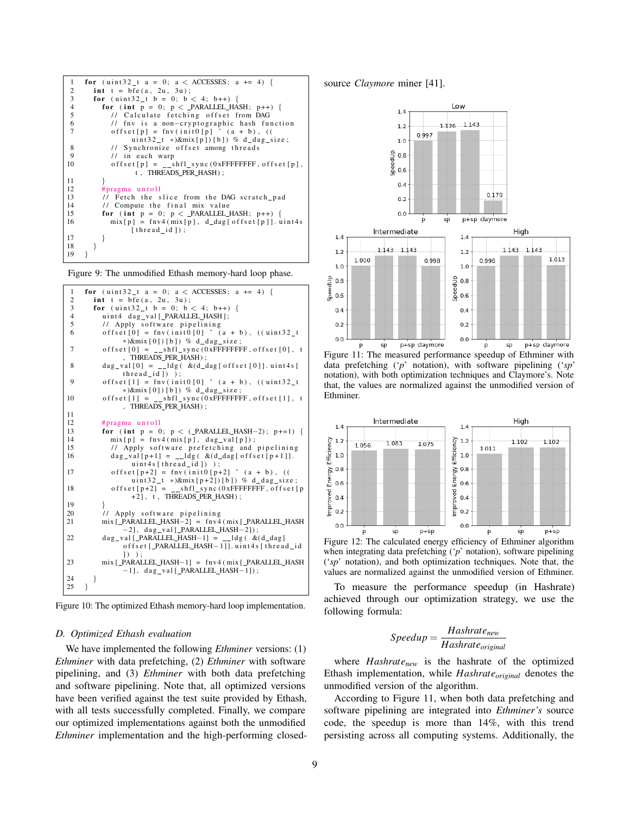

Figure 9: The unmodified Ethash memory-hard loop phase.



Figure 10: The optimized Ethash memory-hard loop implementation.

#### *D. Optimized Ethash evaluation*

We have implemented the following *Ethminer* versions: (1) *Ethminer* with data prefetching, (2) *Ethminer* with software pipelining, and (3) *Ethminer* with both data prefetching and software pipelining. Note that, all optimized versions have been verified against the test suite provided by Ethash, with all tests successfully completed. Finally, we compare our optimized implementations against both the unmodified *Ethminer* implementation and the high-performing closedsource *Claymore* miner [41].



Figure 11: The measured performance speedup of Ethminer with data prefetching ('*p*' notation), with software pipelining ('*sp*' notation), with both optimization techniques and Claymore's. Note that, the values are normalized against the unmodified version of Ethminer.



when integrating data prefetching ('*p*' notation), software pipelining ('*sp*' notation), and both optimization techniques. Note that, the values are normalized against the unmodified version of Ethminer.

To measure the performance speedup (in Hashrate) achieved through our optimization strategy, we use the following formula:

$$
Speedup = \frac{Hashrate_{new}}{Hashrate_{original}}
$$

where *Hashratenew* is the hashrate of the optimized Ethash implementation, while *Hashrateoriginal* denotes the unmodified version of the algorithm.

According to Figure 11, when both data prefetching and software pipelining are integrated into *Ethminer's* source code, the speedup is more than 14%, with this trend persisting across all computing systems. Additionally, the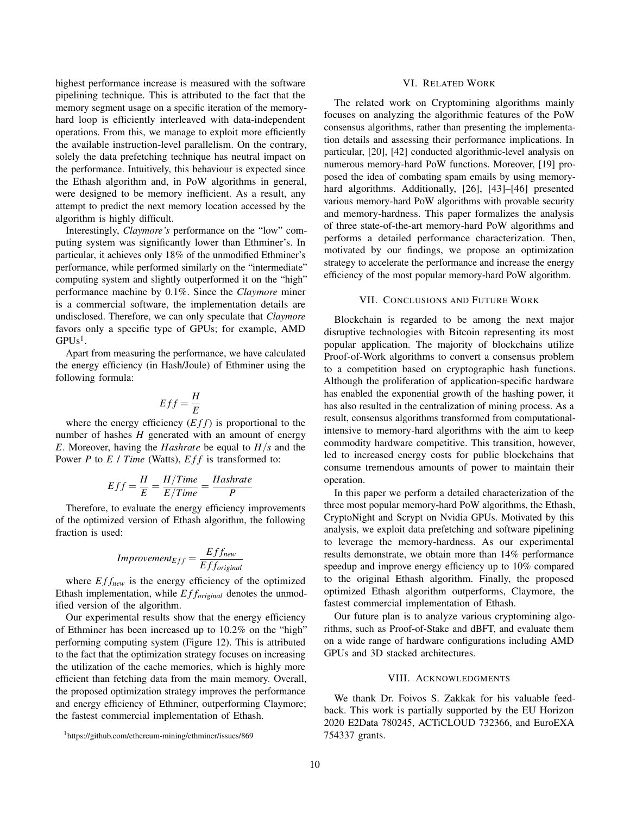highest performance increase is measured with the software pipelining technique. This is attributed to the fact that the memory segment usage on a specific iteration of the memoryhard loop is efficiently interleaved with data-independent operations. From this, we manage to exploit more efficiently the available instruction-level parallelism. On the contrary, solely the data prefetching technique has neutral impact on the performance. Intuitively, this behaviour is expected since the Ethash algorithm and, in PoW algorithms in general, were designed to be memory inefficient. As a result, any attempt to predict the next memory location accessed by the algorithm is highly difficult.

Interestingly, *Claymore's* performance on the "low" computing system was significantly lower than Ethminer's. In particular, it achieves only 18% of the unmodified Ethminer's performance, while performed similarly on the "intermediate" computing system and slightly outperformed it on the "high" performance machine by 0.1%. Since the *Claymore* miner is a commercial software, the implementation details are undisclosed. Therefore, we can only speculate that *Claymore* favors only a specific type of GPUs; for example, AMD  $\textrm{GPUs}^1$ .

Apart from measuring the performance, we have calculated the energy efficiency (in Hash/Joule) of Ethminer using the following formula:

$$
Eff = \frac{H}{E}
$$

where the energy efficiency  $(E f f)$  is proportional to the number of hashes *H* generated with an amount of energy *E*. Moreover, having the *Hashrate* be equal to *H*/*s* and the Power *P* to *E* / *Time* (Watts), *Eff* is transformed to:

$$
Eff = \frac{H}{E} = \frac{H/Time}{E/Time} = \frac{Hashrate}{P}
$$

Therefore, to evaluate the energy efficiency improvements of the optimized version of Ethash algorithm, the following fraction is used:

$$
Improvement_{Eff} = \frac{Eff_{new}}{Eff_{original}}
$$

where  $Eff<sub>new</sub>$  is the energy efficiency of the optimized Ethash implementation, while *E f foriginal* denotes the unmodified version of the algorithm.

Our experimental results show that the energy efficiency of Ethminer has been increased up to 10.2% on the "high" performing computing system (Figure 12). This is attributed to the fact that the optimization strategy focuses on increasing the utilization of the cache memories, which is highly more efficient than fetching data from the main memory. Overall, the proposed optimization strategy improves the performance and energy efficiency of Ethminer, outperforming Claymore; the fastest commercial implementation of Ethash.

#### VI. RELATED WORK

The related work on Cryptomining algorithms mainly focuses on analyzing the algorithmic features of the PoW consensus algorithms, rather than presenting the implementation details and assessing their performance implications. In particular, [20], [42] conducted algorithmic-level analysis on numerous memory-hard PoW functions. Moreover, [19] proposed the idea of combating spam emails by using memoryhard algorithms. Additionally, [26], [43]–[46] presented various memory-hard PoW algorithms with provable security and memory-hardness. This paper formalizes the analysis of three state-of-the-art memory-hard PoW algorithms and performs a detailed performance characterization. Then, motivated by our findings, we propose an optimization strategy to accelerate the performance and increase the energy efficiency of the most popular memory-hard PoW algorithm.

## VII. CONCLUSIONS AND FUTURE WORK

Blockchain is regarded to be among the next major disruptive technologies with Bitcoin representing its most popular application. The majority of blockchains utilize Proof-of-Work algorithms to convert a consensus problem to a competition based on cryptographic hash functions. Although the proliferation of application-specific hardware has enabled the exponential growth of the hashing power, it has also resulted in the centralization of mining process. As a result, consensus algorithms transformed from computationalintensive to memory-hard algorithms with the aim to keep commodity hardware competitive. This transition, however, led to increased energy costs for public blockchains that consume tremendous amounts of power to maintain their operation.

In this paper we perform a detailed characterization of the three most popular memory-hard PoW algorithms, the Ethash, CryptoNight and Scrypt on Nvidia GPUs. Motivated by this analysis, we exploit data prefetching and software pipelining to leverage the memory-hardness. As our experimental results demonstrate, we obtain more than 14% performance speedup and improve energy efficiency up to 10% compared to the original Ethash algorithm. Finally, the proposed optimized Ethash algorithm outperforms, Claymore, the fastest commercial implementation of Ethash.

Our future plan is to analyze various cryptomining algorithms, such as Proof-of-Stake and dBFT, and evaluate them on a wide range of hardware configurations including AMD GPUs and 3D stacked architectures.

#### VIII. ACKNOWLEDGMENTS

We thank Dr. Foivos S. Zakkak for his valuable feedback. This work is partially supported by the EU Horizon 2020 E2Data 780245, ACTiCLOUD 732366, and EuroEXA 754337 grants.

<sup>1</sup>https://github.com/ethereum-mining/ethminer/issues/869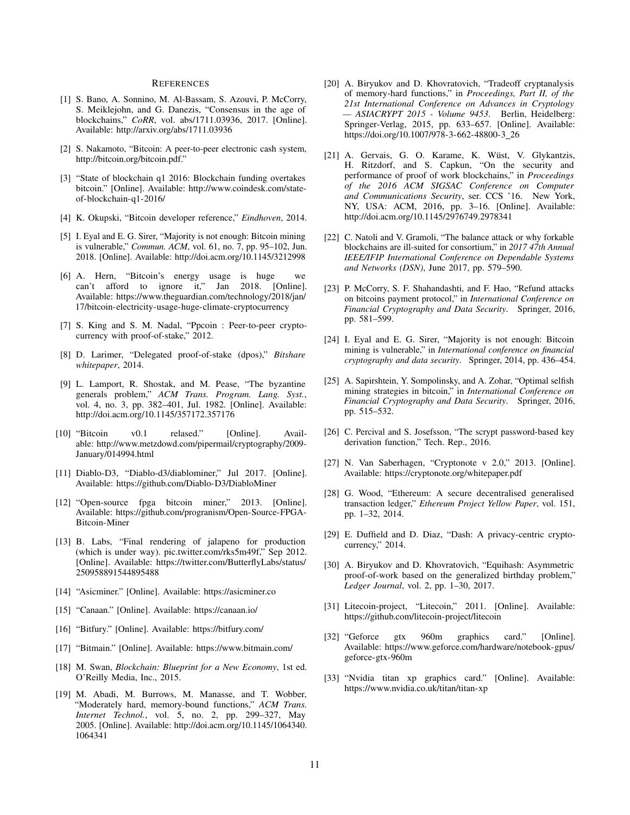#### **REFERENCES**

- [1] S. Bano, A. Sonnino, M. Al-Bassam, S. Azouvi, P. McCorry, S. Meiklejohn, and G. Danezis, "Consensus in the age of blockchains," *CoRR*, vol. abs/1711.03936, 2017. [Online]. Available: http://arxiv.org/abs/1711.03936
- [2] S. Nakamoto, "Bitcoin: A peer-to-peer electronic cash system, http://bitcoin.org/bitcoin.pdf."
- [3] "State of blockchain q1 2016: Blockchain funding overtakes bitcoin." [Online]. Available: http://www.coindesk.com/stateof-blockchain-q1-2016/
- [4] K. Okupski, "Bitcoin developer reference," *Eindhoven*, 2014.
- [5] I. Eyal and E. G. Sirer, "Majority is not enough: Bitcoin mining is vulnerable," *Commun. ACM*, vol. 61, no. 7, pp. 95–102, Jun. 2018. [Online]. Available: http://doi.acm.org/10.1145/3212998
- [6] A. Hern, "Bitcoin's energy usage is huge we can't afford to ignore it," Jan 2018. [Online]. Available: https://www.theguardian.com/technology/2018/jan/ 17/bitcoin-electricity-usage-huge-climate-cryptocurrency
- [7] S. King and S. M. Nadal, "Ppcoin : Peer-to-peer cryptocurrency with proof-of-stake," 2012.
- [8] D. Larimer, "Delegated proof-of-stake (dpos)," *Bitshare whitepaper*, 2014.
- [9] L. Lamport, R. Shostak, and M. Pease, "The byzantine generals problem," *ACM Trans. Program. Lang. Syst.*, vol. 4, no. 3, pp. 382–401, Jul. 1982. [Online]. Available: http://doi.acm.org/10.1145/357172.357176
- [10] "Bitcoin v0.1 relased." [Online]. Available: http://www.metzdowd.com/pipermail/cryptography/2009- January/014994.html
- [11] Diablo-D3, "Diablo-d3/diablominer," Jul 2017. [Online]. Available: https://github.com/Diablo-D3/DiabloMiner
- [12] "Open-source fpga bitcoin miner," 2013. [Online]. Available: https://github.com/progranism/Open-Source-FPGA-Bitcoin-Miner
- [13] B. Labs, "Final rendering of jalapeno for production (which is under way). pic.twitter.com/rks5m49f," Sep 2012. [Online]. Available: https://twitter.com/ButterflyLabs/status/ 250958891544895488
- [14] "Asicminer." [Online]. Available: https://asicminer.co
- [15] "Canaan." [Online]. Available: https://canaan.io/
- [16] "Bitfury." [Online]. Available: https://bitfury.com/
- [17] "Bitmain." [Online]. Available: https://www.bitmain.com/
- [18] M. Swan, *Blockchain: Blueprint for a New Economy*, 1st ed. O'Reilly Media, Inc., 2015.
- [19] M. Abadi, M. Burrows, M. Manasse, and T. Wobber, "Moderately hard, memory-bound functions," *ACM Trans. Internet Technol.*, vol. 5, no. 2, pp. 299–327, May 2005. [Online]. Available: http://doi.acm.org/10.1145/1064340. 1064341
- [20] A. Biryukov and D. Khovratovich, "Tradeoff cryptanalysis of memory-hard functions," in *Proceedings, Part II, of the 21st International Conference on Advances in Cryptology — ASIACRYPT 2015 - Volume 9453*. Berlin, Heidelberg: Springer-Verlag, 2015, pp. 633–657. [Online]. Available: https://doi.org/10.1007/978-3-662-48800-3\_26
- [21] A. Gervais, G. O. Karame, K. Wüst, V. Glykantzis, H. Ritzdorf, and S. Capkun, "On the security and performance of proof of work blockchains," in *Proceedings of the 2016 ACM SIGSAC Conference on Computer and Communications Security*, ser. CCS '16. New York, NY, USA: ACM, 2016, pp. 3–16. [Online]. Available: http://doi.acm.org/10.1145/2976749.2978341
- [22] C. Natoli and V. Gramoli, "The balance attack or why forkable blockchains are ill-suited for consortium," in *2017 47th Annual IEEE/IFIP International Conference on Dependable Systems and Networks (DSN)*, June 2017, pp. 579–590.
- [23] P. McCorry, S. F. Shahandashti, and F. Hao, "Refund attacks on bitcoins payment protocol," in *International Conference on Financial Cryptography and Data Security*. Springer, 2016, pp. 581–599.
- [24] I. Eyal and E. G. Sirer, "Majority is not enough: Bitcoin mining is vulnerable," in *International conference on financial cryptography and data security*. Springer, 2014, pp. 436–454.
- [25] A. Sapirshtein, Y. Sompolinsky, and A. Zohar, "Optimal selfish mining strategies in bitcoin," in *International Conference on Financial Cryptography and Data Security*. Springer, 2016, pp. 515–532.
- [26] C. Percival and S. Josefsson, "The scrypt password-based key derivation function," Tech. Rep., 2016.
- [27] N. Van Saberhagen, "Cryptonote v 2.0," 2013. [Online]. Available: https://cryptonote.org/whitepaper.pdf
- [28] G. Wood, "Ethereum: A secure decentralised generalised transaction ledger," *Ethereum Project Yellow Paper*, vol. 151, pp. 1–32, 2014.
- [29] E. Duffield and D. Diaz, "Dash: A privacy-centric cryptocurrency," 2014.
- [30] A. Biryukov and D. Khovratovich, "Equihash: Asymmetric proof-of-work based on the generalized birthday problem," *Ledger Journal*, vol. 2, pp. 1–30, 2017.
- [31] Litecoin-project, "Litecoin," 2011. [Online]. Available: https://github.com/litecoin-project/litecoin
- [32] "Geforce gtx 960m graphics card." [Online]. Available: https://www.geforce.com/hardware/notebook-gpus/ geforce-gtx-960m
- [33] "Nvidia titan xp graphics card." [Online]. Available: https://www.nvidia.co.uk/titan/titan-xp